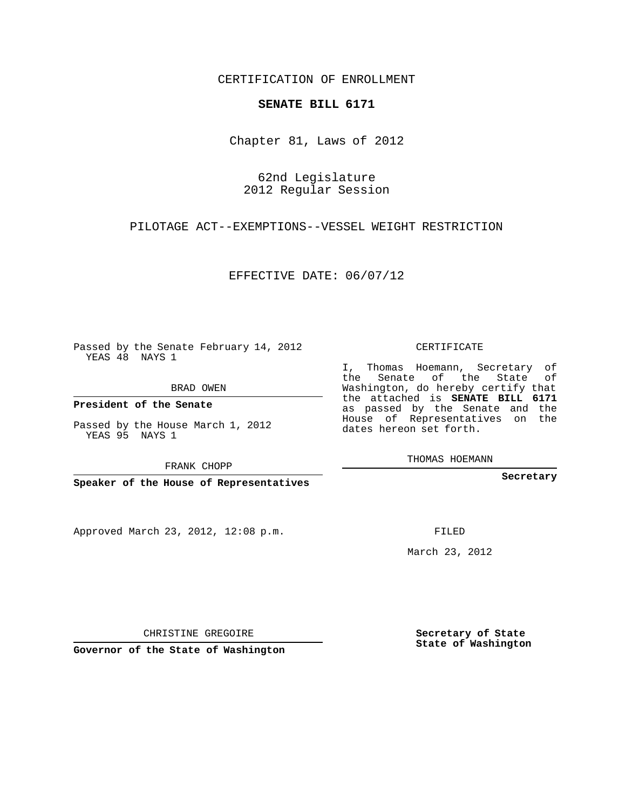CERTIFICATION OF ENROLLMENT

## **SENATE BILL 6171**

Chapter 81, Laws of 2012

62nd Legislature 2012 Regular Session

PILOTAGE ACT--EXEMPTIONS--VESSEL WEIGHT RESTRICTION

EFFECTIVE DATE: 06/07/12

Passed by the Senate February 14, 2012 YEAS 48 NAYS 1

BRAD OWEN

**President of the Senate**

Passed by the House March 1, 2012 YEAS 95 NAYS 1

FRANK CHOPP

**Speaker of the House of Representatives**

Approved March 23, 2012, 12:08 p.m.

CERTIFICATE

I, Thomas Hoemann, Secretary of the Senate of the State of Washington, do hereby certify that the attached is **SENATE BILL 6171** as passed by the Senate and the House of Representatives on the dates hereon set forth.

THOMAS HOEMANN

**Secretary**

FILED

March 23, 2012

**Secretary of State State of Washington**

CHRISTINE GREGOIRE

**Governor of the State of Washington**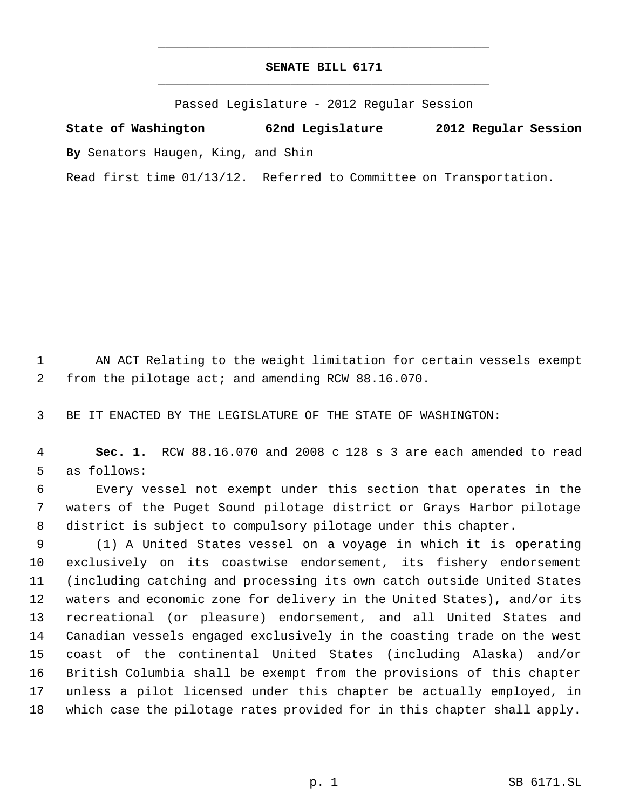## **SENATE BILL 6171** \_\_\_\_\_\_\_\_\_\_\_\_\_\_\_\_\_\_\_\_\_\_\_\_\_\_\_\_\_\_\_\_\_\_\_\_\_\_\_\_\_\_\_\_\_

\_\_\_\_\_\_\_\_\_\_\_\_\_\_\_\_\_\_\_\_\_\_\_\_\_\_\_\_\_\_\_\_\_\_\_\_\_\_\_\_\_\_\_\_\_

Passed Legislature - 2012 Regular Session

**State of Washington 62nd Legislature 2012 Regular Session By** Senators Haugen, King, and Shin

Read first time 01/13/12. Referred to Committee on Transportation.

 AN ACT Relating to the weight limitation for certain vessels exempt from the pilotage act; and amending RCW 88.16.070.

BE IT ENACTED BY THE LEGISLATURE OF THE STATE OF WASHINGTON:

 **Sec. 1.** RCW 88.16.070 and 2008 c 128 s 3 are each amended to read as follows:

 Every vessel not exempt under this section that operates in the waters of the Puget Sound pilotage district or Grays Harbor pilotage district is subject to compulsory pilotage under this chapter.

 (1) A United States vessel on a voyage in which it is operating exclusively on its coastwise endorsement, its fishery endorsement (including catching and processing its own catch outside United States waters and economic zone for delivery in the United States), and/or its recreational (or pleasure) endorsement, and all United States and Canadian vessels engaged exclusively in the coasting trade on the west coast of the continental United States (including Alaska) and/or British Columbia shall be exempt from the provisions of this chapter unless a pilot licensed under this chapter be actually employed, in which case the pilotage rates provided for in this chapter shall apply.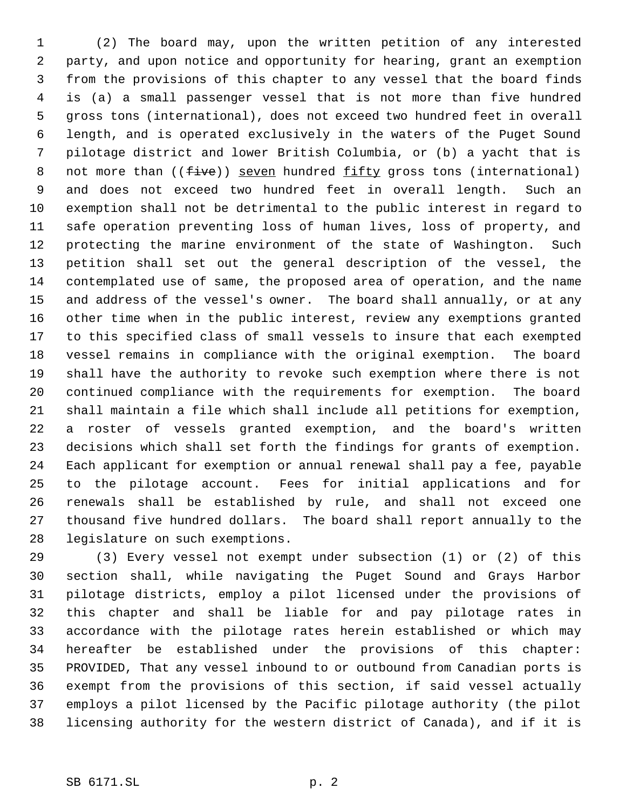(2) The board may, upon the written petition of any interested party, and upon notice and opportunity for hearing, grant an exemption from the provisions of this chapter to any vessel that the board finds is (a) a small passenger vessel that is not more than five hundred gross tons (international), does not exceed two hundred feet in overall length, and is operated exclusively in the waters of the Puget Sound pilotage district and lower British Columbia, or (b) a yacht that is 8 not more than  $((five))$  seven hundred fifty gross tons (international) and does not exceed two hundred feet in overall length. Such an exemption shall not be detrimental to the public interest in regard to safe operation preventing loss of human lives, loss of property, and protecting the marine environment of the state of Washington. Such petition shall set out the general description of the vessel, the contemplated use of same, the proposed area of operation, and the name and address of the vessel's owner. The board shall annually, or at any other time when in the public interest, review any exemptions granted to this specified class of small vessels to insure that each exempted vessel remains in compliance with the original exemption. The board shall have the authority to revoke such exemption where there is not continued compliance with the requirements for exemption. The board shall maintain a file which shall include all petitions for exemption, a roster of vessels granted exemption, and the board's written decisions which shall set forth the findings for grants of exemption. Each applicant for exemption or annual renewal shall pay a fee, payable to the pilotage account. Fees for initial applications and for renewals shall be established by rule, and shall not exceed one thousand five hundred dollars. The board shall report annually to the legislature on such exemptions.

 (3) Every vessel not exempt under subsection (1) or (2) of this section shall, while navigating the Puget Sound and Grays Harbor pilotage districts, employ a pilot licensed under the provisions of this chapter and shall be liable for and pay pilotage rates in accordance with the pilotage rates herein established or which may hereafter be established under the provisions of this chapter: PROVIDED, That any vessel inbound to or outbound from Canadian ports is exempt from the provisions of this section, if said vessel actually employs a pilot licensed by the Pacific pilotage authority (the pilot licensing authority for the western district of Canada), and if it is